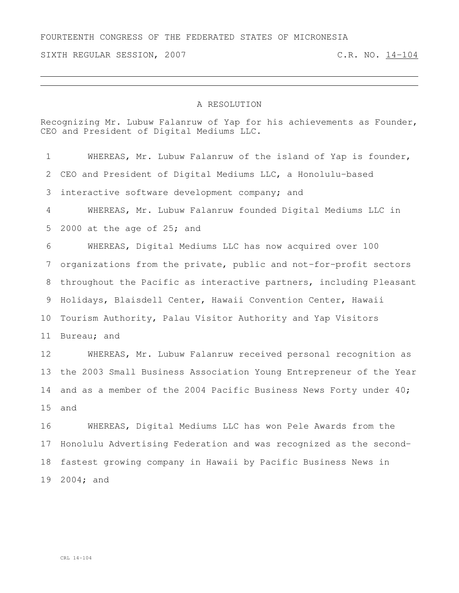## FOURTEENTH CONGRESS OF THE FEDERATED STATES OF MICRONESIA

SIXTH REGULAR SESSION, 2007 C.R. NO. 14-104

## A RESOLUTION

Recognizing Mr. Lubuw Falanruw of Yap for his achievements as Founder, CEO and President of Digital Mediums LLC.

 WHEREAS, Mr. Lubuw Falanruw of the island of Yap is founder, CEO and President of Digital Mediums LLC, a Honolulu-based interactive software development company; and WHEREAS, Mr. Lubuw Falanruw founded Digital Mediums LLC in 2000 at the age of 25; and WHEREAS, Digital Mediums LLC has now acquired over 100 organizations from the private, public and not-for-profit sectors throughout the Pacific as interactive partners, including Pleasant Holidays, Blaisdell Center, Hawaii Convention Center, Hawaii Tourism Authority, Palau Visitor Authority and Yap Visitors Bureau; and WHEREAS, Mr. Lubuw Falanruw received personal recognition as the 2003 Small Business Association Young Entrepreneur of the Year and as a member of the 2004 Pacific Business News Forty under 40; and WHEREAS, Digital Mediums LLC has won Pele Awards from the Honolulu Advertising Federation and was recognized as the second- fastest growing company in Hawaii by Pacific Business News in 2004; and